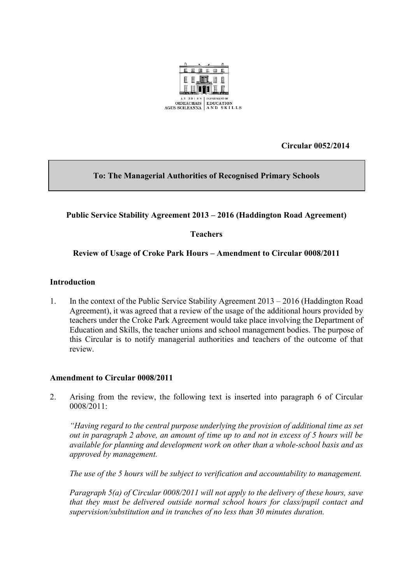

**Circular 0052/2014**

# **To: The Managerial Authorities of Recognised Primary Schools**

# **Public Service Stability Agreement 2013 – 2016 (Haddington Road Agreement)**

## **Teachers**

## **Review of Usage of Croke Park Hours – Amendment to Circular 0008/2011**

#### **Introduction**

1. In the context of the Public Service Stability Agreement 2013 – 2016 (Haddington Road Agreement), it was agreed that a review of the usage of the additional hours provided by teachers under the Croke Park Agreement would take place involving the Department of Education and Skills, the teacher unions and school management bodies. The purpose of this Circular is to notify managerial authorities and teachers of the outcome of that review.

#### **Amendment to Circular 0008/2011**

2. Arising from the review, the following text is inserted into paragraph 6 of Circular 0008/2011:

*"Having regard to the central purpose underlying the provision of additional time as set out in paragraph 2 above, an amount of time up to and not in excess of 5 hours will be available for planning and development work on other than a whole-school basis and as approved by management.*

*The use of the 5 hours will be subject to verification and accountability to management.* 

*Paragraph 5(a) of Circular 0008/2011 will not apply to the delivery of these hours, save that they must be delivered outside normal school hours for class/pupil contact and supervision/substitution and in tranches of no less than 30 minutes duration.*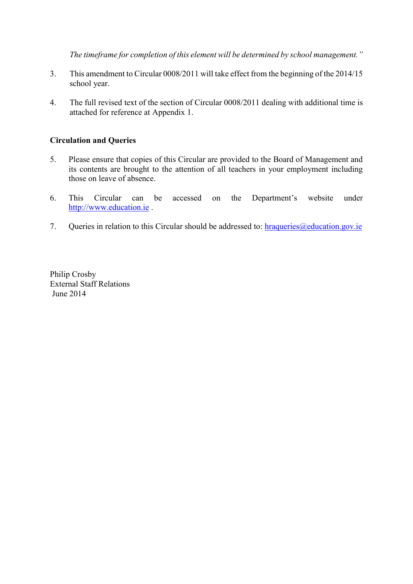*The timeframe for completion of this element will be determined by school management."*

- 3. This amendment to Circular 0008/2011 will take effect from the beginning of the 2014/15 school year.
- 4. The full revised text of the section of Circular 0008/2011 dealing with additional time is attached for reference at Appendix 1.

# **Circulation and Queries**

- 5. Please ensure that copies of this Circular are provided to the Board of Management and its contents are brought to the attention of all teachers in your employment including those on leave of absence.
- 6. This Circular can be accessed on the Department's website under [http://www.education.ie](http://www.education.ie/) .
- 7. Queries in relation to this Circular should be addressed to:  $\frac{h}{\text{raqueries}}$  *(a)* education.gov.ie

Philip Crosby External Staff Relations June 2014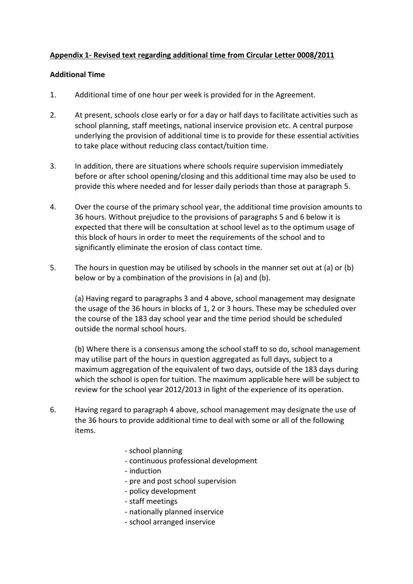## **Appendix 1- Revised text regarding additional time from Circular Letter 0008/2011**

#### **Additional Time**

- 1. Additional time of one hour per week is provided for in the Agreement.
- 2. At present, schools close early or for a day or half days to facilitate activities such as school planning, staff meetings, national inservice provision etc. A central purpose underlying the provision of additional time is to provide for these essential activities to take place without reducing class contact/tuition time.
- 3. In addition, there are situations where schools require supervision immediately before or after school opening/closing and this additional time may also be used to provide this where needed and for lesser daily periods than those at paragraph 5.
- 4. Over the course of the primary school year, the additional time provision amounts to 36 hours. Without prejudice to the provisions of paragraphs 5 and 6 below it is expected that there will be consultation at school level as to the optimum usage of this block of hours in order to meet the requirements of the school and to significantly eliminate the erosion of class contact time.
- 5. The hours in question may be utilised by schools in the manner set out at (a) or (b) below or by a combination of the provisions in (a) and (b).

(a) Having regard to paragraphs 3 and 4 above, school management may designate the usage of the 36 hours in blocks of 1, 2 or 3 hours. These may be scheduled over the course of the 183 day school year and the time period should be scheduled outside the normal school hours.

(b) Where there is a consensus among the school staff to so do, school management may utilise part of the hours in question aggregated as full days, subject to a maximum aggregation of the equivalent of two days, outside of the 183 days during which the school is open for tuition. The maximum applicable here will be subject to review for the school year 2012/2013 in light of the experience of its operation.

- 6. Having regard to paragraph 4 above, school management may designate the use of the 36 hours to provide additional time to deal with some or all of the following items.
	- school planning
	- continuous professional development
	- induction
	- pre and post school supervision
	- policy development
	- staff meetings
	- nationally planned inservice
	- school arranged inservice